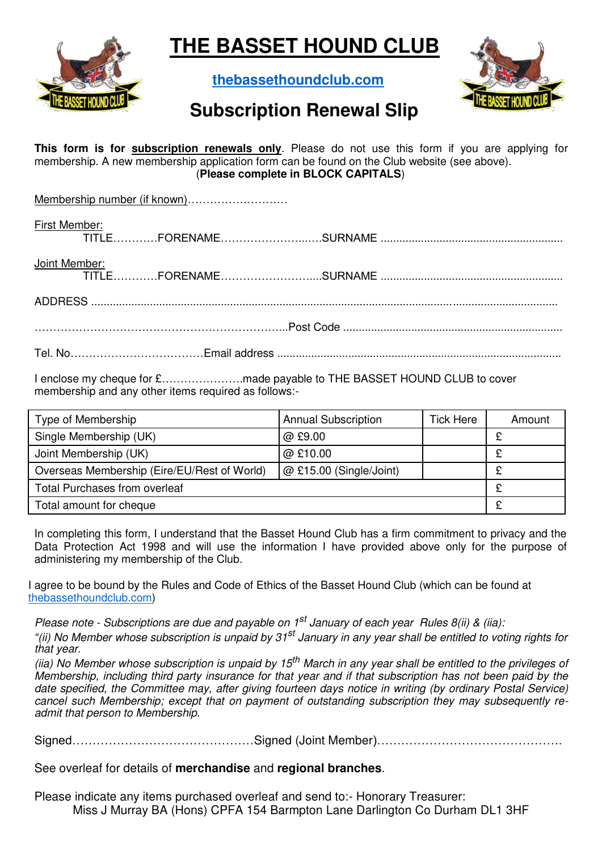

**THE BASSET HOUND CLUB** 

**[thebassethoundclub.com](https://thebassethoundclub.com/)**



## **Subscription Renewal Slip**

**This form is for subscription renewals only**. Please do not use this form if you are applying for membership. A new membership application form can be found on the Club website (see above). (**Please complete in BLOCK CAPITALS**)

| First Member: |  |  |  |  |  |  |  |
|---------------|--|--|--|--|--|--|--|
| Joint Member: |  |  |  |  |  |  |  |
|               |  |  |  |  |  |  |  |
|               |  |  |  |  |  |  |  |
|               |  |  |  |  |  |  |  |

I enclose my cheque for £………………….made payable to THE BASSET HOUND CLUB to cover membership and any other items required as follows:-

| Type of Membership                          | <b>Annual Subscription</b> | <b>Tick Here</b> | Amount |  |
|---------------------------------------------|----------------------------|------------------|--------|--|
| Single Membership (UK)                      | @ £9.00                    |                  |        |  |
| Joint Membership (UK)                       | @ £10.00                   |                  |        |  |
| Overseas Membership (Eire/EU/Rest of World) | @ £15.00 (Single/Joint)    |                  |        |  |
| <b>Total Purchases from overleaf</b>        |                            |                  |        |  |
| Total amount for cheque                     |                            |                  |        |  |

In completing this form, I understand that the Basset Hound Club has a firm commitment to privacy and the Data Protection Act 1998 and will use the information I have provided above only for the purpose of administering my membership of the Club.

I agree to be bound by the Rules and Code of Ethics of the Basset Hound Club (which can be found at [thebassethoundclub.com\)](https://thebassethoundclub.com/)

*Please note - Subscriptions are due and payable on 1st January of each year Rules 8(ii) & (iia): "(ii) No Member whose subscription is unpaid by 31st January in any year shall be entitled to voting rights for that year.* 

*(iia) No Member whose subscription is unpaid by 15th March in any year shall be entitled to the privileges of Membership, including third party insurance for that year and if that subscription has not been paid by the date specified, the Committee may, after giving fourteen days notice in writing (by ordinary Postal Service) cancel such Membership; except that on payment of outstanding subscription they may subsequently readmit that person to Membership.* 

Signed………………………………………Signed (Joint Member)……………………………………….

See overleaf for details of **merchandise** and **regional branches**.

Please indicate any items purchased overleaf and send to:- Honorary Treasurer: Miss J Murray BA (Hons) CPFA 154 Barmpton Lane Darlington Co Durham DL1 3HF